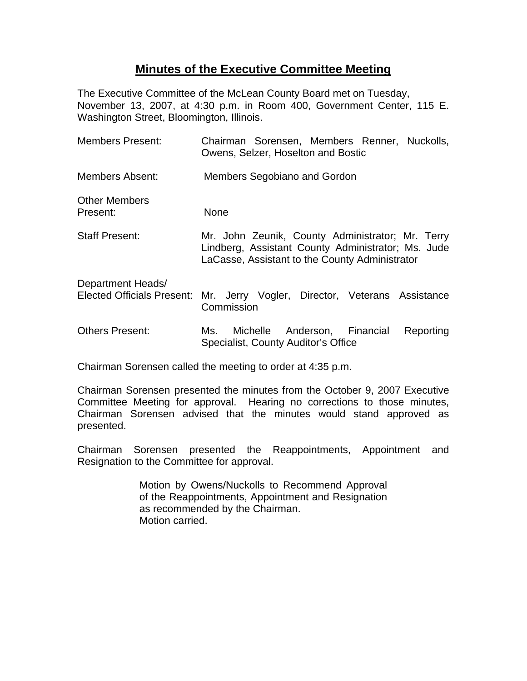## **Minutes of the Executive Committee Meeting**

The Executive Committee of the McLean County Board met on Tuesday, November 13, 2007, at 4:30 p.m. in Room 400, Government Center, 115 E. Washington Street, Bloomington, Illinois.

| Members Present:                 | Chairman Sorensen, Members Renner, Nuckolls,<br>Owens, Selzer, Hoselton and Bostic                                                                       |
|----------------------------------|----------------------------------------------------------------------------------------------------------------------------------------------------------|
| Members Absent:                  | Members Segobiano and Gordon                                                                                                                             |
| <b>Other Members</b><br>Present: | None                                                                                                                                                     |
| <b>Staff Present:</b>            | Mr. John Zeunik, County Administrator; Mr. Terry<br>Lindberg, Assistant County Administrator; Ms. Jude<br>LaCasse, Assistant to the County Administrator |
| Department Heads/                | Elected Officials Present: Mr. Jerry Vogler, Director, Veterans Assistance<br>Commission                                                                 |
| Others Present:                  | Michelle Anderson, Financial<br>Reporting<br>Ms.<br>Specialist, County Auditor's Office                                                                  |

Chairman Sorensen called the meeting to order at 4:35 p.m.

Chairman Sorensen presented the minutes from the October 9, 2007 Executive Committee Meeting for approval. Hearing no corrections to those minutes, Chairman Sorensen advised that the minutes would stand approved as presented.

Chairman Sorensen presented the Reappointments, Appointment and Resignation to the Committee for approval.

> Motion by Owens/Nuckolls to Recommend Approval of the Reappointments, Appointment and Resignation as recommended by the Chairman. Motion carried.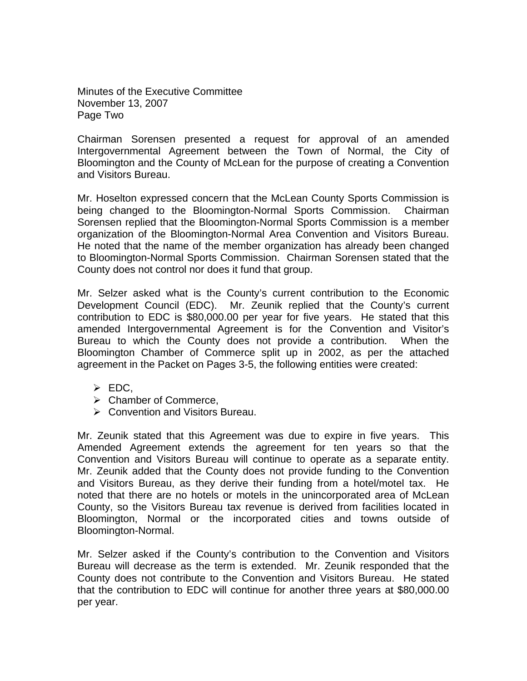Minutes of the Executive Committee November 13, 2007 Page Two

Chairman Sorensen presented a request for approval of an amended Intergovernmental Agreement between the Town of Normal, the City of Bloomington and the County of McLean for the purpose of creating a Convention and Visitors Bureau.

Mr. Hoselton expressed concern that the McLean County Sports Commission is being changed to the Bloomington-Normal Sports Commission. Chairman Sorensen replied that the Bloomington-Normal Sports Commission is a member organization of the Bloomington-Normal Area Convention and Visitors Bureau. He noted that the name of the member organization has already been changed to Bloomington-Normal Sports Commission. Chairman Sorensen stated that the County does not control nor does it fund that group.

Mr. Selzer asked what is the County's current contribution to the Economic Development Council (EDC). Mr. Zeunik replied that the County's current contribution to EDC is \$80,000.00 per year for five years. He stated that this amended Intergovernmental Agreement is for the Convention and Visitor's Bureau to which the County does not provide a contribution. When the Bloomington Chamber of Commerce split up in 2002, as per the attached agreement in the Packet on Pages 3-5, the following entities were created:

- $\triangleright$  EDC,
- $\triangleright$  Chamber of Commerce,
- ¾ Convention and Visitors Bureau.

Mr. Zeunik stated that this Agreement was due to expire in five years. This Amended Agreement extends the agreement for ten years so that the Convention and Visitors Bureau will continue to operate as a separate entity. Mr. Zeunik added that the County does not provide funding to the Convention and Visitors Bureau, as they derive their funding from a hotel/motel tax. He noted that there are no hotels or motels in the unincorporated area of McLean County, so the Visitors Bureau tax revenue is derived from facilities located in Bloomington, Normal or the incorporated cities and towns outside of Bloomington-Normal.

Mr. Selzer asked if the County's contribution to the Convention and Visitors Bureau will decrease as the term is extended. Mr. Zeunik responded that the County does not contribute to the Convention and Visitors Bureau. He stated that the contribution to EDC will continue for another three years at \$80,000.00 per year.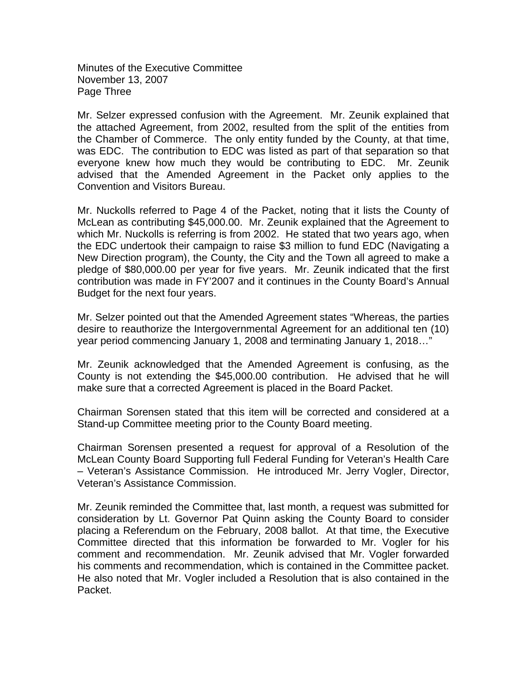Minutes of the Executive Committee November 13, 2007 Page Three

Mr. Selzer expressed confusion with the Agreement. Mr. Zeunik explained that the attached Agreement, from 2002, resulted from the split of the entities from the Chamber of Commerce. The only entity funded by the County, at that time, was EDC. The contribution to EDC was listed as part of that separation so that everyone knew how much they would be contributing to EDC. Mr. Zeunik advised that the Amended Agreement in the Packet only applies to the Convention and Visitors Bureau.

Mr. Nuckolls referred to Page 4 of the Packet, noting that it lists the County of McLean as contributing \$45,000.00. Mr. Zeunik explained that the Agreement to which Mr. Nuckolls is referring is from 2002. He stated that two years ago, when the EDC undertook their campaign to raise \$3 million to fund EDC (Navigating a New Direction program), the County, the City and the Town all agreed to make a pledge of \$80,000.00 per year for five years. Mr. Zeunik indicated that the first contribution was made in FY'2007 and it continues in the County Board's Annual Budget for the next four years.

Mr. Selzer pointed out that the Amended Agreement states "Whereas, the parties desire to reauthorize the Intergovernmental Agreement for an additional ten (10) year period commencing January 1, 2008 and terminating January 1, 2018…"

Mr. Zeunik acknowledged that the Amended Agreement is confusing, as the County is not extending the \$45,000.00 contribution. He advised that he will make sure that a corrected Agreement is placed in the Board Packet.

Chairman Sorensen stated that this item will be corrected and considered at a Stand-up Committee meeting prior to the County Board meeting.

Chairman Sorensen presented a request for approval of a Resolution of the McLean County Board Supporting full Federal Funding for Veteran's Health Care – Veteran's Assistance Commission. He introduced Mr. Jerry Vogler, Director, Veteran's Assistance Commission.

Mr. Zeunik reminded the Committee that, last month, a request was submitted for consideration by Lt. Governor Pat Quinn asking the County Board to consider placing a Referendum on the February, 2008 ballot. At that time, the Executive Committee directed that this information be forwarded to Mr. Vogler for his comment and recommendation. Mr. Zeunik advised that Mr. Vogler forwarded his comments and recommendation, which is contained in the Committee packet. He also noted that Mr. Vogler included a Resolution that is also contained in the Packet.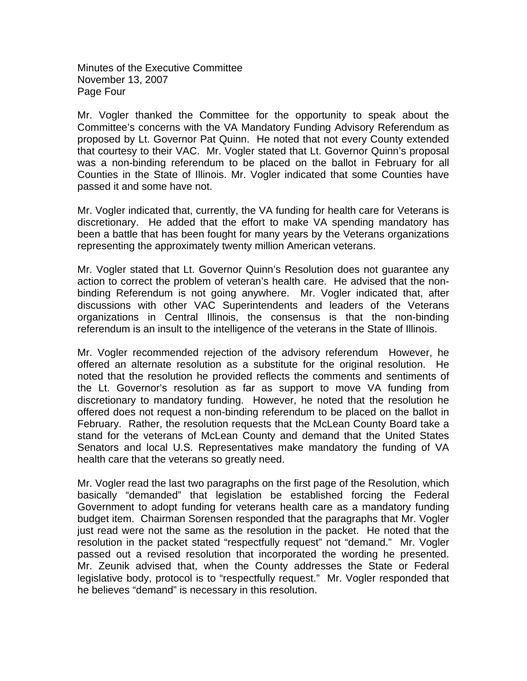Minutes of the Executive Committee November 13, 2007 Page Four

Mr. Vogler thanked the Committee for the opportunity to speak about the Committee's concerns with the VA Mandatory Funding Advisory Referendum as proposed by Lt. Governor Pat Quinn. He noted that not every County extended that courtesy to their VAC. Mr. Vogler stated that Lt. Governor Quinn's proposal was a non-binding referendum to be placed on the ballot in February for all Counties in the State of Illinois. Mr. Vogler indicated that some Counties have passed it and some have not.

Mr. Vogler indicated that, currently, the VA funding for health care for Veterans is discretionary. He added that the effort to make VA spending mandatory has been a battle that has been fought for many years by the Veterans organizations representing the approximately twenty million American veterans.

Mr. Vogler stated that Lt. Governor Quinn's Resolution does not guarantee any action to correct the problem of veteran's health care. He advised that the nonbinding Referendum is not going anywhere. Mr. Vogler indicated that, after discussions with other VAC Superintendents and leaders of the Veterans organizations in Central Illinois, the consensus is that the non-binding referendum is an insult to the intelligence of the veterans in the State of Illinois.

Mr. Vogler recommended rejection of the advisory referendum However, he offered an alternate resolution as a substitute for the original resolution. He noted that the resolution he provided reflects the comments and sentiments of the Lt. Governor's resolution as far as support to move VA funding from discretionary to mandatory funding. However, he noted that the resolution he offered does not request a non-binding referendum to be placed on the ballot in February. Rather, the resolution requests that the McLean County Board take a stand for the veterans of McLean County and demand that the United States Senators and local U.S. Representatives make mandatory the funding of VA health care that the veterans so greatly need.

Mr. Vogler read the last two paragraphs on the first page of the Resolution, which basically "demanded" that legislation be established forcing the Federal Government to adopt funding for veterans health care as a mandatory funding budget item. Chairman Sorensen responded that the paragraphs that Mr. Vogler just read were not the same as the resolution in the packet. He noted that the resolution in the packet stated "respectfully request" not "demand." Mr. Vogler passed out a revised resolution that incorporated the wording he presented. Mr. Zeunik advised that, when the County addresses the State or Federal legislative body, protocol is to "respectfully request." Mr. Vogler responded that he believes "demand" is necessary in this resolution.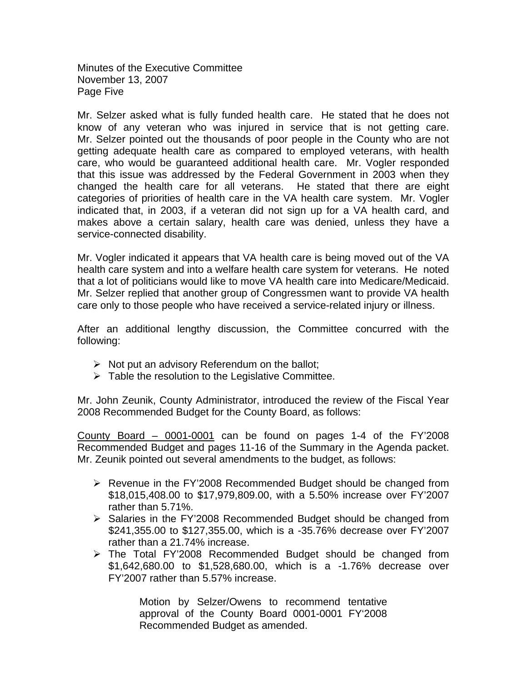Minutes of the Executive Committee November 13, 2007 Page Five

Mr. Selzer asked what is fully funded health care. He stated that he does not know of any veteran who was injured in service that is not getting care. Mr. Selzer pointed out the thousands of poor people in the County who are not getting adequate health care as compared to employed veterans, with health care, who would be guaranteed additional health care. Mr. Vogler responded that this issue was addressed by the Federal Government in 2003 when they changed the health care for all veterans. He stated that there are eight categories of priorities of health care in the VA health care system. Mr. Vogler indicated that, in 2003, if a veteran did not sign up for a VA health card, and makes above a certain salary, health care was denied, unless they have a service-connected disability.

Mr. Vogler indicated it appears that VA health care is being moved out of the VA health care system and into a welfare health care system for veterans. He noted that a lot of politicians would like to move VA health care into Medicare/Medicaid. Mr. Selzer replied that another group of Congressmen want to provide VA health care only to those people who have received a service-related injury or illness.

After an additional lengthy discussion, the Committee concurred with the following:

- $\triangleright$  Not put an advisory Referendum on the ballot;
- $\triangleright$  Table the resolution to the Legislative Committee.

Mr. John Zeunik, County Administrator, introduced the review of the Fiscal Year 2008 Recommended Budget for the County Board, as follows:

County Board – 0001-0001 can be found on pages 1-4 of the FY'2008 Recommended Budget and pages 11-16 of the Summary in the Agenda packet. Mr. Zeunik pointed out several amendments to the budget, as follows:

- $\triangleright$  Revenue in the FY'2008 Recommended Budget should be changed from \$18,015,408.00 to \$17,979,809.00, with a 5.50% increase over FY'2007 rather than 5.71%.
- $\triangleright$  Salaries in the FY'2008 Recommended Budget should be changed from \$241,355.00 to \$127,355.00, which is a -35.76% decrease over FY'2007 rather than a 21.74% increase.
- ¾ The Total FY'2008 Recommended Budget should be changed from \$1,642,680.00 to \$1,528,680.00, which is a -1.76% decrease over FY'2007 rather than 5.57% increase.

Motion by Selzer/Owens to recommend tentative approval of the County Board 0001-0001 FY'2008 Recommended Budget as amended.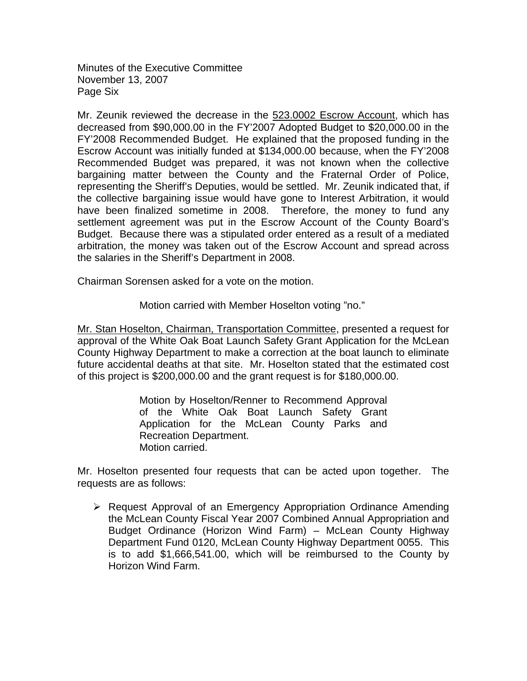Minutes of the Executive Committee November 13, 2007 Page Six

Mr. Zeunik reviewed the decrease in the 523.0002 Escrow Account, which has decreased from \$90,000.00 in the FY'2007 Adopted Budget to \$20,000.00 in the FY'2008 Recommended Budget. He explained that the proposed funding in the Escrow Account was initially funded at \$134,000.00 because, when the FY'2008 Recommended Budget was prepared, it was not known when the collective bargaining matter between the County and the Fraternal Order of Police, representing the Sheriff's Deputies, would be settled. Mr. Zeunik indicated that, if the collective bargaining issue would have gone to Interest Arbitration, it would have been finalized sometime in 2008. Therefore, the money to fund any settlement agreement was put in the Escrow Account of the County Board's Budget. Because there was a stipulated order entered as a result of a mediated arbitration, the money was taken out of the Escrow Account and spread across the salaries in the Sheriff's Department in 2008.

Chairman Sorensen asked for a vote on the motion.

Motion carried with Member Hoselton voting "no."

Mr. Stan Hoselton, Chairman, Transportation Committee, presented a request for approval of the White Oak Boat Launch Safety Grant Application for the McLean County Highway Department to make a correction at the boat launch to eliminate future accidental deaths at that site. Mr. Hoselton stated that the estimated cost of this project is \$200,000.00 and the grant request is for \$180,000.00.

> Motion by Hoselton/Renner to Recommend Approval of the White Oak Boat Launch Safety Grant Application for the McLean County Parks and Recreation Department. Motion carried.

Mr. Hoselton presented four requests that can be acted upon together. The requests are as follows:

¾ Request Approval of an Emergency Appropriation Ordinance Amending the McLean County Fiscal Year 2007 Combined Annual Appropriation and Budget Ordinance (Horizon Wind Farm) – McLean County Highway Department Fund 0120, McLean County Highway Department 0055. This is to add \$1,666,541.00, which will be reimbursed to the County by Horizon Wind Farm.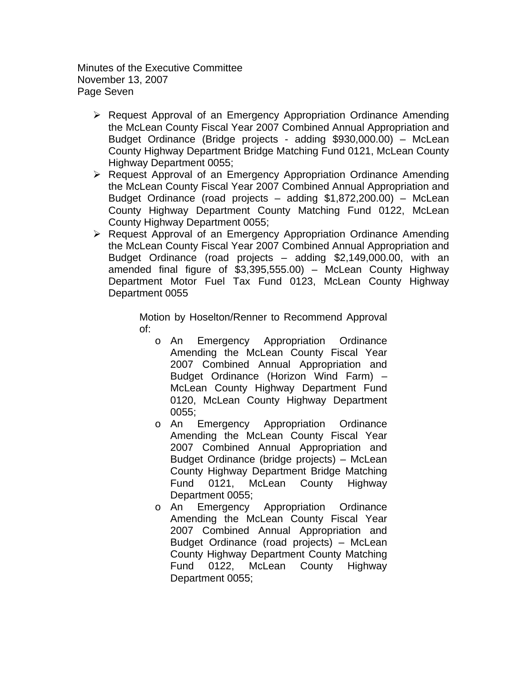Minutes of the Executive Committee November 13, 2007 Page Seven

- $\triangleright$  Request Approval of an Emergency Appropriation Ordinance Amending the McLean County Fiscal Year 2007 Combined Annual Appropriation and Budget Ordinance (Bridge projects - adding \$930,000.00) – McLean County Highway Department Bridge Matching Fund 0121, McLean County Highway Department 0055;
- ¾ Request Approval of an Emergency Appropriation Ordinance Amending the McLean County Fiscal Year 2007 Combined Annual Appropriation and Budget Ordinance (road projects – adding \$1,872,200.00) – McLean County Highway Department County Matching Fund 0122, McLean County Highway Department 0055;
- ¾ Request Approval of an Emergency Appropriation Ordinance Amending the McLean County Fiscal Year 2007 Combined Annual Appropriation and Budget Ordinance (road projects – adding \$2,149,000.00, with an amended final figure of \$3,395,555.00) – McLean County Highway Department Motor Fuel Tax Fund 0123, McLean County Highway Department 0055

Motion by Hoselton/Renner to Recommend Approval of:

- o An Emergency Appropriation Ordinance Amending the McLean County Fiscal Year 2007 Combined Annual Appropriation and Budget Ordinance (Horizon Wind Farm) – McLean County Highway Department Fund 0120, McLean County Highway Department 0055;
- o An Emergency Appropriation Ordinance Amending the McLean County Fiscal Year 2007 Combined Annual Appropriation and Budget Ordinance (bridge projects) – McLean County Highway Department Bridge Matching Fund 0121, McLean County Highway Department 0055;
- o An Emergency Appropriation Ordinance Amending the McLean County Fiscal Year 2007 Combined Annual Appropriation and Budget Ordinance (road projects) – McLean County Highway Department County Matching Fund 0122, McLean County Highway Department 0055;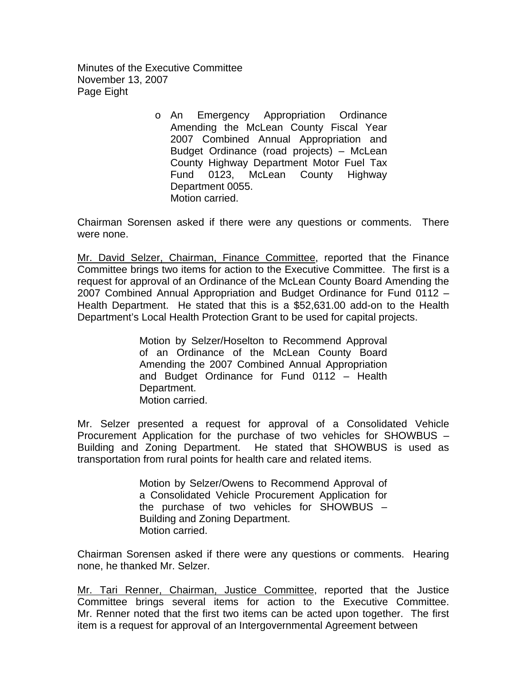Minutes of the Executive Committee November 13, 2007 Page Eight

> o An Emergency Appropriation Ordinance Amending the McLean County Fiscal Year 2007 Combined Annual Appropriation and Budget Ordinance (road projects) – McLean County Highway Department Motor Fuel Tax Fund 0123, McLean County Highway Department 0055. Motion carried.

Chairman Sorensen asked if there were any questions or comments. There were none.

Mr. David Selzer, Chairman, Finance Committee, reported that the Finance Committee brings two items for action to the Executive Committee. The first is a request for approval of an Ordinance of the McLean County Board Amending the 2007 Combined Annual Appropriation and Budget Ordinance for Fund 0112 – Health Department. He stated that this is a \$52,631.00 add-on to the Health Department's Local Health Protection Grant to be used for capital projects.

> Motion by Selzer/Hoselton to Recommend Approval of an Ordinance of the McLean County Board Amending the 2007 Combined Annual Appropriation and Budget Ordinance for Fund 0112 – Health Department. Motion carried.

Mr. Selzer presented a request for approval of a Consolidated Vehicle Procurement Application for the purchase of two vehicles for SHOWBUS – Building and Zoning Department. He stated that SHOWBUS is used as transportation from rural points for health care and related items.

> Motion by Selzer/Owens to Recommend Approval of a Consolidated Vehicle Procurement Application for the purchase of two vehicles for SHOWBUS – Building and Zoning Department. Motion carried.

Chairman Sorensen asked if there were any questions or comments. Hearing none, he thanked Mr. Selzer.

Mr. Tari Renner, Chairman, Justice Committee, reported that the Justice Committee brings several items for action to the Executive Committee. Mr. Renner noted that the first two items can be acted upon together. The first item is a request for approval of an Intergovernmental Agreement between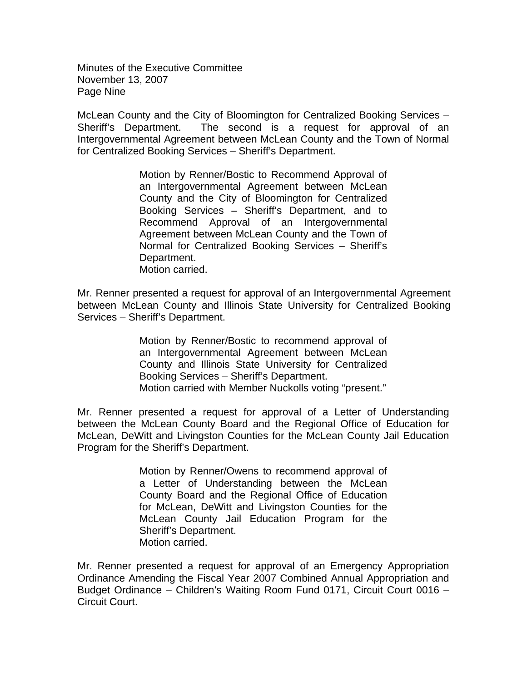Minutes of the Executive Committee November 13, 2007 Page Nine

McLean County and the City of Bloomington for Centralized Booking Services – Sheriff's Department. The second is a request for approval of an Intergovernmental Agreement between McLean County and the Town of Normal for Centralized Booking Services – Sheriff's Department.

> Motion by Renner/Bostic to Recommend Approval of an Intergovernmental Agreement between McLean County and the City of Bloomington for Centralized Booking Services – Sheriff's Department, and to Recommend Approval of an Intergovernmental Agreement between McLean County and the Town of Normal for Centralized Booking Services – Sheriff's Department. Motion carried.

Mr. Renner presented a request for approval of an Intergovernmental Agreement between McLean County and Illinois State University for Centralized Booking Services – Sheriff's Department.

> Motion by Renner/Bostic to recommend approval of an Intergovernmental Agreement between McLean County and Illinois State University for Centralized Booking Services – Sheriff's Department. Motion carried with Member Nuckolls voting "present."

Mr. Renner presented a request for approval of a Letter of Understanding between the McLean County Board and the Regional Office of Education for McLean, DeWitt and Livingston Counties for the McLean County Jail Education Program for the Sheriff's Department.

> Motion by Renner/Owens to recommend approval of a Letter of Understanding between the McLean County Board and the Regional Office of Education for McLean, DeWitt and Livingston Counties for the McLean County Jail Education Program for the Sheriff's Department. Motion carried.

Mr. Renner presented a request for approval of an Emergency Appropriation Ordinance Amending the Fiscal Year 2007 Combined Annual Appropriation and Budget Ordinance – Children's Waiting Room Fund 0171, Circuit Court 0016 – Circuit Court.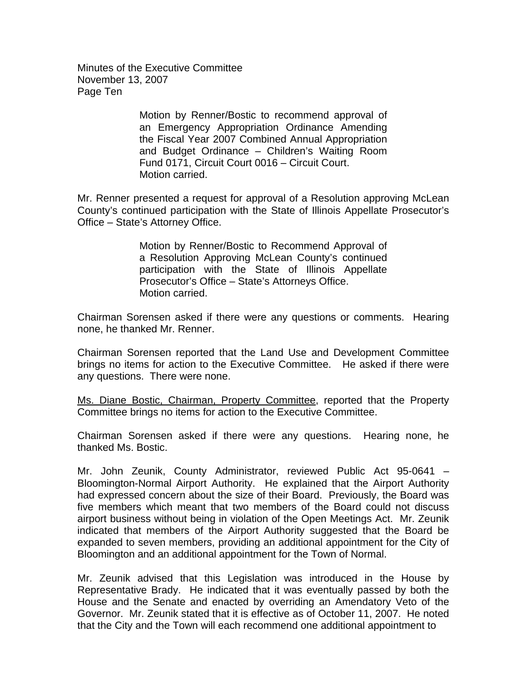Minutes of the Executive Committee November 13, 2007 Page Ten

> Motion by Renner/Bostic to recommend approval of an Emergency Appropriation Ordinance Amending the Fiscal Year 2007 Combined Annual Appropriation and Budget Ordinance – Children's Waiting Room Fund 0171, Circuit Court 0016 – Circuit Court. Motion carried.

Mr. Renner presented a request for approval of a Resolution approving McLean County's continued participation with the State of Illinois Appellate Prosecutor's Office – State's Attorney Office.

> Motion by Renner/Bostic to Recommend Approval of a Resolution Approving McLean County's continued participation with the State of Illinois Appellate Prosecutor's Office – State's Attorneys Office. Motion carried.

Chairman Sorensen asked if there were any questions or comments. Hearing none, he thanked Mr. Renner.

Chairman Sorensen reported that the Land Use and Development Committee brings no items for action to the Executive Committee. He asked if there were any questions. There were none.

Ms. Diane Bostic, Chairman, Property Committee, reported that the Property Committee brings no items for action to the Executive Committee.

Chairman Sorensen asked if there were any questions. Hearing none, he thanked Ms. Bostic.

Mr. John Zeunik, County Administrator, reviewed Public Act 95-0641 – Bloomington-Normal Airport Authority. He explained that the Airport Authority had expressed concern about the size of their Board. Previously, the Board was five members which meant that two members of the Board could not discuss airport business without being in violation of the Open Meetings Act. Mr. Zeunik indicated that members of the Airport Authority suggested that the Board be expanded to seven members, providing an additional appointment for the City of Bloomington and an additional appointment for the Town of Normal.

Mr. Zeunik advised that this Legislation was introduced in the House by Representative Brady. He indicated that it was eventually passed by both the House and the Senate and enacted by overriding an Amendatory Veto of the Governor. Mr. Zeunik stated that it is effective as of October 11, 2007. He noted that the City and the Town will each recommend one additional appointment to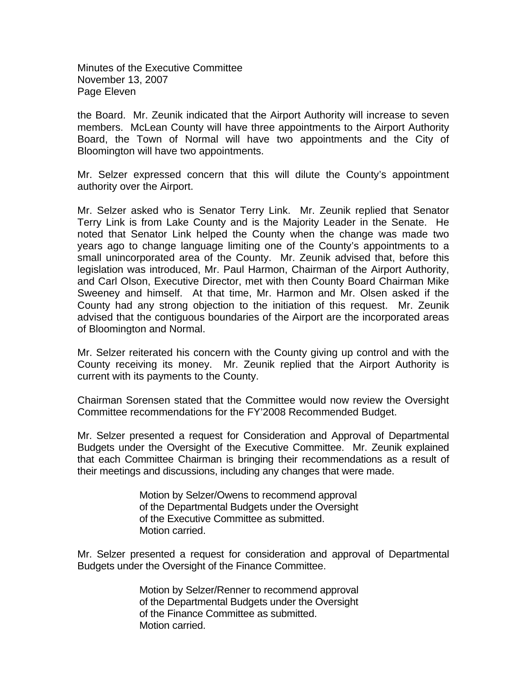Minutes of the Executive Committee November 13, 2007 Page Eleven

the Board. Mr. Zeunik indicated that the Airport Authority will increase to seven members. McLean County will have three appointments to the Airport Authority Board, the Town of Normal will have two appointments and the City of Bloomington will have two appointments.

Mr. Selzer expressed concern that this will dilute the County's appointment authority over the Airport.

Mr. Selzer asked who is Senator Terry Link. Mr. Zeunik replied that Senator Terry Link is from Lake County and is the Majority Leader in the Senate. He noted that Senator Link helped the County when the change was made two years ago to change language limiting one of the County's appointments to a small unincorporated area of the County. Mr. Zeunik advised that, before this legislation was introduced, Mr. Paul Harmon, Chairman of the Airport Authority, and Carl Olson, Executive Director, met with then County Board Chairman Mike Sweeney and himself. At that time, Mr. Harmon and Mr. Olsen asked if the County had any strong objection to the initiation of this request. Mr. Zeunik advised that the contiguous boundaries of the Airport are the incorporated areas of Bloomington and Normal.

Mr. Selzer reiterated his concern with the County giving up control and with the County receiving its money. Mr. Zeunik replied that the Airport Authority is current with its payments to the County.

Chairman Sorensen stated that the Committee would now review the Oversight Committee recommendations for the FY'2008 Recommended Budget.

Mr. Selzer presented a request for Consideration and Approval of Departmental Budgets under the Oversight of the Executive Committee. Mr. Zeunik explained that each Committee Chairman is bringing their recommendations as a result of their meetings and discussions, including any changes that were made.

> Motion by Selzer/Owens to recommend approval of the Departmental Budgets under the Oversight of the Executive Committee as submitted. Motion carried.

Mr. Selzer presented a request for consideration and approval of Departmental Budgets under the Oversight of the Finance Committee.

> Motion by Selzer/Renner to recommend approval of the Departmental Budgets under the Oversight of the Finance Committee as submitted. Motion carried.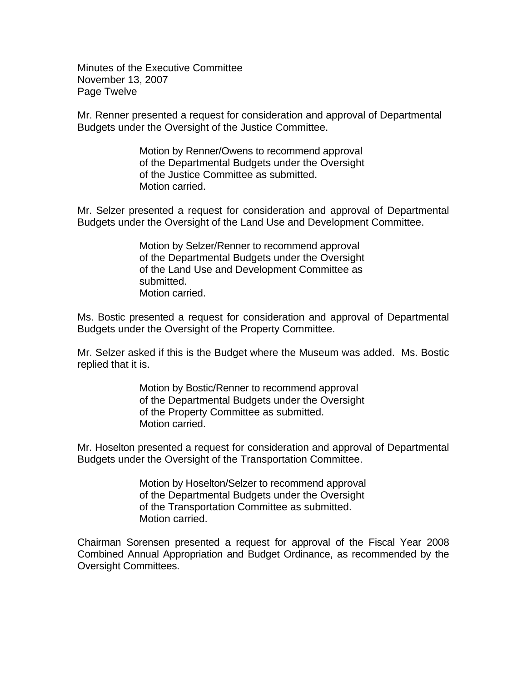Minutes of the Executive Committee November 13, 2007 Page Twelve

Mr. Renner presented a request for consideration and approval of Departmental Budgets under the Oversight of the Justice Committee.

> Motion by Renner/Owens to recommend approval of the Departmental Budgets under the Oversight of the Justice Committee as submitted. Motion carried.

Mr. Selzer presented a request for consideration and approval of Departmental Budgets under the Oversight of the Land Use and Development Committee.

> Motion by Selzer/Renner to recommend approval of the Departmental Budgets under the Oversight of the Land Use and Development Committee as submitted. Motion carried.

Ms. Bostic presented a request for consideration and approval of Departmental Budgets under the Oversight of the Property Committee.

Mr. Selzer asked if this is the Budget where the Museum was added. Ms. Bostic replied that it is.

> Motion by Bostic/Renner to recommend approval of the Departmental Budgets under the Oversight of the Property Committee as submitted. Motion carried.

Mr. Hoselton presented a request for consideration and approval of Departmental Budgets under the Oversight of the Transportation Committee.

> Motion by Hoselton/Selzer to recommend approval of the Departmental Budgets under the Oversight of the Transportation Committee as submitted. Motion carried.

Chairman Sorensen presented a request for approval of the Fiscal Year 2008 Combined Annual Appropriation and Budget Ordinance, as recommended by the Oversight Committees.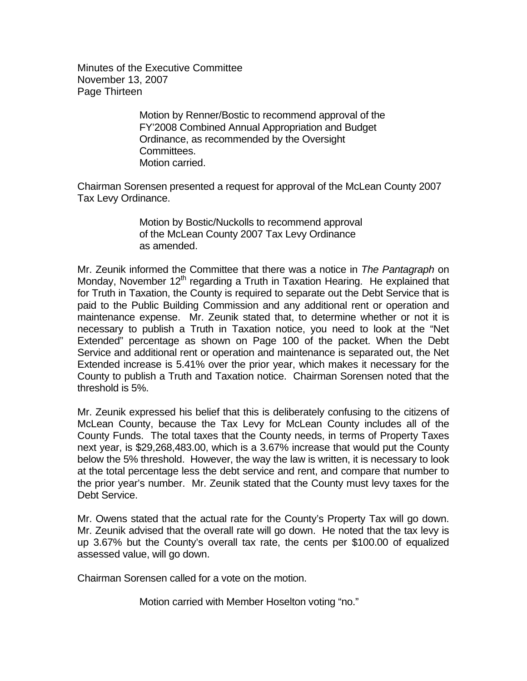Minutes of the Executive Committee November 13, 2007 Page Thirteen

> Motion by Renner/Bostic to recommend approval of the FY'2008 Combined Annual Appropriation and Budget Ordinance, as recommended by the Oversight Committees. Motion carried.

Chairman Sorensen presented a request for approval of the McLean County 2007 Tax Levy Ordinance.

> Motion by Bostic/Nuckolls to recommend approval of the McLean County 2007 Tax Levy Ordinance as amended.

Mr. Zeunik informed the Committee that there was a notice in *The Pantagraph* on Monday, November  $12<sup>th</sup>$  regarding a Truth in Taxation Hearing. He explained that for Truth in Taxation, the County is required to separate out the Debt Service that is paid to the Public Building Commission and any additional rent or operation and maintenance expense. Mr. Zeunik stated that, to determine whether or not it is necessary to publish a Truth in Taxation notice, you need to look at the "Net Extended" percentage as shown on Page 100 of the packet. When the Debt Service and additional rent or operation and maintenance is separated out, the Net Extended increase is 5.41% over the prior year, which makes it necessary for the County to publish a Truth and Taxation notice. Chairman Sorensen noted that the threshold is 5%.

Mr. Zeunik expressed his belief that this is deliberately confusing to the citizens of McLean County, because the Tax Levy for McLean County includes all of the County Funds. The total taxes that the County needs, in terms of Property Taxes next year, is \$29,268,483.00, which is a 3.67% increase that would put the County below the 5% threshold. However, the way the law is written, it is necessary to look at the total percentage less the debt service and rent, and compare that number to the prior year's number. Mr. Zeunik stated that the County must levy taxes for the Debt Service.

Mr. Owens stated that the actual rate for the County's Property Tax will go down. Mr. Zeunik advised that the overall rate will go down. He noted that the tax levy is up 3.67% but the County's overall tax rate, the cents per \$100.00 of equalized assessed value, will go down.

Chairman Sorensen called for a vote on the motion.

Motion carried with Member Hoselton voting "no."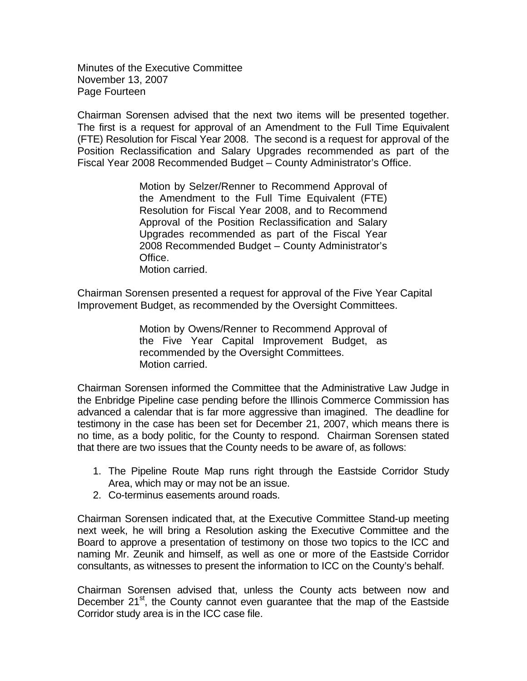Minutes of the Executive Committee November 13, 2007 Page Fourteen

Chairman Sorensen advised that the next two items will be presented together. The first is a request for approval of an Amendment to the Full Time Equivalent (FTE) Resolution for Fiscal Year 2008. The second is a request for approval of the Position Reclassification and Salary Upgrades recommended as part of the Fiscal Year 2008 Recommended Budget – County Administrator's Office.

> Motion by Selzer/Renner to Recommend Approval of the Amendment to the Full Time Equivalent (FTE) Resolution for Fiscal Year 2008, and to Recommend Approval of the Position Reclassification and Salary Upgrades recommended as part of the Fiscal Year 2008 Recommended Budget – County Administrator's Office. Motion carried.

Chairman Sorensen presented a request for approval of the Five Year Capital Improvement Budget, as recommended by the Oversight Committees.

> Motion by Owens/Renner to Recommend Approval of the Five Year Capital Improvement Budget, as recommended by the Oversight Committees. Motion carried.

Chairman Sorensen informed the Committee that the Administrative Law Judge in the Enbridge Pipeline case pending before the Illinois Commerce Commission has advanced a calendar that is far more aggressive than imagined. The deadline for testimony in the case has been set for December 21, 2007, which means there is no time, as a body politic, for the County to respond. Chairman Sorensen stated that there are two issues that the County needs to be aware of, as follows:

- 1. The Pipeline Route Map runs right through the Eastside Corridor Study Area, which may or may not be an issue.
- 2. Co-terminus easements around roads.

Chairman Sorensen indicated that, at the Executive Committee Stand-up meeting next week, he will bring a Resolution asking the Executive Committee and the Board to approve a presentation of testimony on those two topics to the ICC and naming Mr. Zeunik and himself, as well as one or more of the Eastside Corridor consultants, as witnesses to present the information to ICC on the County's behalf.

Chairman Sorensen advised that, unless the County acts between now and December 21<sup>st</sup>, the County cannot even guarantee that the map of the Eastside Corridor study area is in the ICC case file.